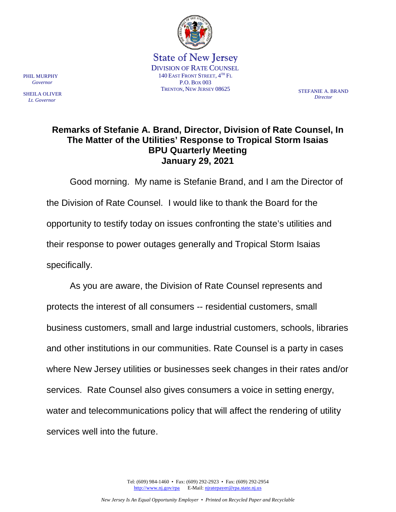

State of New Jersey DIVISION OF RATE COUNSEL 140 EAST FRONT STREET,  $4^{TH}$  Fl. P.O. BOX 003 TRENTON, NEW JERSEY 08625 STEFANIE A. BRAND

*Director*

## **Remarks of Stefanie A. Brand, Director, Division of Rate Counsel, In The Matter of the Utilities' Response to Tropical Storm Isaias BPU Quarterly Meeting January 29, 2021**

Good morning. My name is Stefanie Brand, and I am the Director of the Division of Rate Counsel. I would like to thank the Board for the opportunity to testify today on issues confronting the state's utilities and their response to power outages generally and Tropical Storm Isaias specifically.

As you are aware, the Division of Rate Counsel represents and protects the interest of all consumers -- residential customers, small business customers, small and large industrial customers, schools, libraries and other institutions in our communities. Rate Counsel is a party in cases where New Jersey utilities or businesses seek changes in their rates and/or services. Rate Counsel also gives consumers a voice in setting energy, water and telecommunications policy that will affect the rendering of utility services well into the future.

PHIL MURPHY  *Governor*

SHEILA OLIVER  *Lt. Governor*

> Tel: (609) 984-1460 • Fax: (609) 292-2923 • Fax: (609) 292-2954 [http://www.nj.gov/rpa](http://www.state.nj.us/publicadvocate/utility) E-Mail: [njratepayer@rpa.state.nj.us](mailto:njratepayer@rpa.state.nj.us)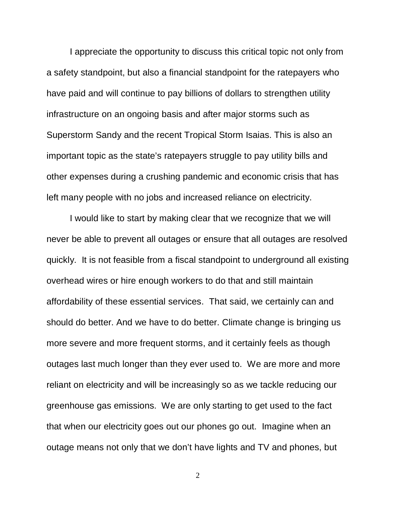I appreciate the opportunity to discuss this critical topic not only from a safety standpoint, but also a financial standpoint for the ratepayers who have paid and will continue to pay billions of dollars to strengthen utility infrastructure on an ongoing basis and after major storms such as Superstorm Sandy and the recent Tropical Storm Isaias. This is also an important topic as the state's ratepayers struggle to pay utility bills and other expenses during a crushing pandemic and economic crisis that has left many people with no jobs and increased reliance on electricity.

I would like to start by making clear that we recognize that we will never be able to prevent all outages or ensure that all outages are resolved quickly. It is not feasible from a fiscal standpoint to underground all existing overhead wires or hire enough workers to do that and still maintain affordability of these essential services. That said, we certainly can and should do better. And we have to do better. Climate change is bringing us more severe and more frequent storms, and it certainly feels as though outages last much longer than they ever used to. We are more and more reliant on electricity and will be increasingly so as we tackle reducing our greenhouse gas emissions. We are only starting to get used to the fact that when our electricity goes out our phones go out. Imagine when an outage means not only that we don't have lights and TV and phones, but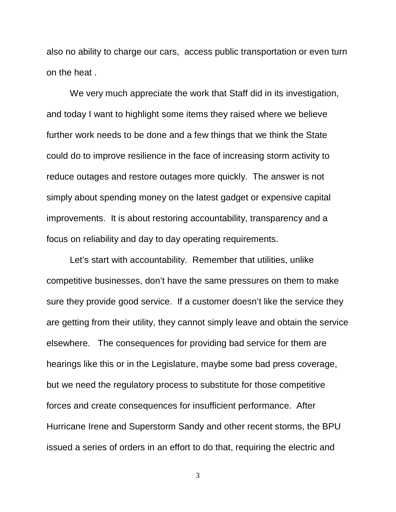also no ability to charge our cars, access public transportation or even turn on the heat .

We very much appreciate the work that Staff did in its investigation, and today I want to highlight some items they raised where we believe further work needs to be done and a few things that we think the State could do to improve resilience in the face of increasing storm activity to reduce outages and restore outages more quickly. The answer is not simply about spending money on the latest gadget or expensive capital improvements. It is about restoring accountability, transparency and a focus on reliability and day to day operating requirements.

Let's start with accountability. Remember that utilities, unlike competitive businesses, don't have the same pressures on them to make sure they provide good service. If a customer doesn't like the service they are getting from their utility, they cannot simply leave and obtain the service elsewhere. The consequences for providing bad service for them are hearings like this or in the Legislature, maybe some bad press coverage, but we need the regulatory process to substitute for those competitive forces and create consequences for insufficient performance. After Hurricane Irene and Superstorm Sandy and other recent storms, the BPU issued a series of orders in an effort to do that, requiring the electric and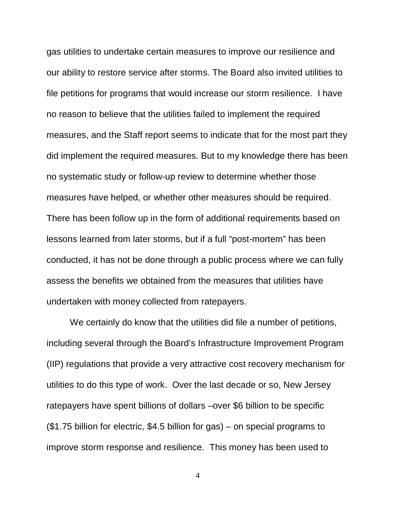gas utilities to undertake certain measures to improve our resilience and our ability to restore service after storms. The Board also invited utilities to file petitions for programs that would increase our storm resilience. I have no reason to believe that the utilities failed to implement the required measures, and the Staff report seems to indicate that for the most part they did implement the required measures. But to my knowledge there has been no systematic study or follow-up review to determine whether those measures have helped, or whether other measures should be required. There has been follow up in the form of additional requirements based on lessons learned from later storms, but if a full "post-mortem" has been conducted, it has not be done through a public process where we can fully assess the benefits we obtained from the measures that utilities have undertaken with money collected from ratepayers.

We certainly do know that the utilities did file a number of petitions, including several through the Board's Infrastructure Improvement Program (IIP) regulations that provide a very attractive cost recovery mechanism for utilities to do this type of work. Over the last decade or so, New Jersey ratepayers have spent billions of dollars –over \$6 billion to be specific (\$1.75 billion for electric, \$4.5 billion for gas) – on special programs to improve storm response and resilience. This money has been used to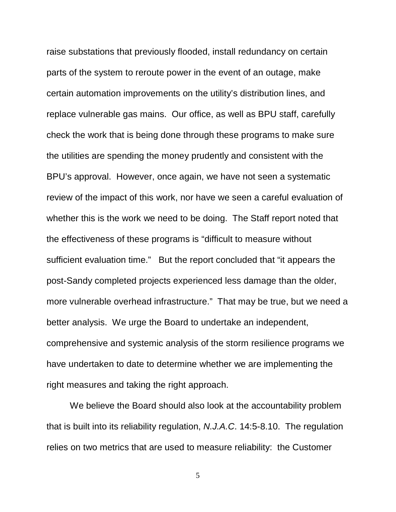raise substations that previously flooded, install redundancy on certain parts of the system to reroute power in the event of an outage, make certain automation improvements on the utility's distribution lines, and replace vulnerable gas mains. Our office, as well as BPU staff, carefully check the work that is being done through these programs to make sure the utilities are spending the money prudently and consistent with the BPU's approval. However, once again, we have not seen a systematic review of the impact of this work, nor have we seen a careful evaluation of whether this is the work we need to be doing. The Staff report noted that the effectiveness of these programs is "difficult to measure without sufficient evaluation time." But the report concluded that "it appears the post-Sandy completed projects experienced less damage than the older, more vulnerable overhead infrastructure." That may be true, but we need a better analysis. We urge the Board to undertake an independent, comprehensive and systemic analysis of the storm resilience programs we have undertaken to date to determine whether we are implementing the right measures and taking the right approach.

We believe the Board should also look at the accountability problem that is built into its reliability regulation, *N.J.A.C*. 14:5-8.10. The regulation relies on two metrics that are used to measure reliability: the Customer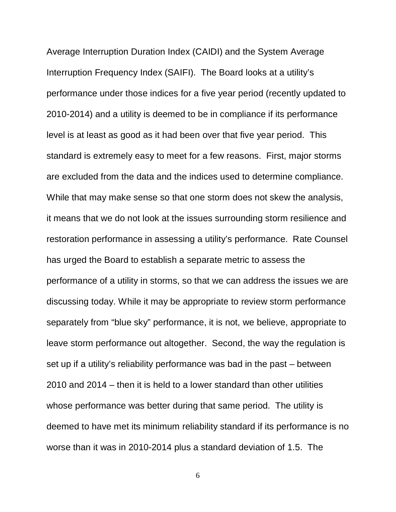Average Interruption Duration Index (CAIDI) and the System Average Interruption Frequency Index (SAIFI). The Board looks at a utility's performance under those indices for a five year period (recently updated to 2010-2014) and a utility is deemed to be in compliance if its performance level is at least as good as it had been over that five year period. This standard is extremely easy to meet for a few reasons. First, major storms are excluded from the data and the indices used to determine compliance. While that may make sense so that one storm does not skew the analysis, it means that we do not look at the issues surrounding storm resilience and restoration performance in assessing a utility's performance. Rate Counsel has urged the Board to establish a separate metric to assess the performance of a utility in storms, so that we can address the issues we are discussing today. While it may be appropriate to review storm performance separately from "blue sky" performance, it is not, we believe, appropriate to leave storm performance out altogether. Second, the way the regulation is set up if a utility's reliability performance was bad in the past – between 2010 and 2014 – then it is held to a lower standard than other utilities whose performance was better during that same period. The utility is deemed to have met its minimum reliability standard if its performance is no worse than it was in 2010-2014 plus a standard deviation of 1.5. The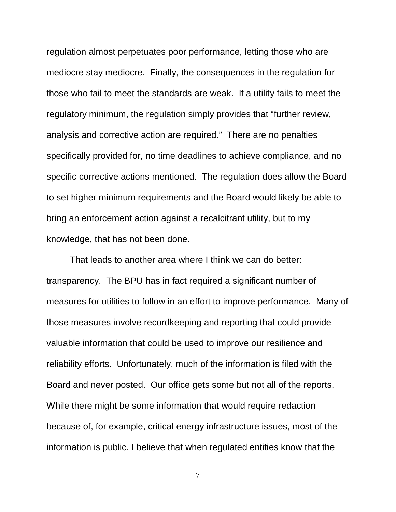regulation almost perpetuates poor performance, letting those who are mediocre stay mediocre. Finally, the consequences in the regulation for those who fail to meet the standards are weak. If a utility fails to meet the regulatory minimum, the regulation simply provides that "further review, analysis and corrective action are required." There are no penalties specifically provided for, no time deadlines to achieve compliance, and no specific corrective actions mentioned. The regulation does allow the Board to set higher minimum requirements and the Board would likely be able to bring an enforcement action against a recalcitrant utility, but to my knowledge, that has not been done.

That leads to another area where I think we can do better: transparency. The BPU has in fact required a significant number of measures for utilities to follow in an effort to improve performance. Many of those measures involve recordkeeping and reporting that could provide valuable information that could be used to improve our resilience and reliability efforts. Unfortunately, much of the information is filed with the Board and never posted. Our office gets some but not all of the reports. While there might be some information that would require redaction because of, for example, critical energy infrastructure issues, most of the information is public. I believe that when regulated entities know that the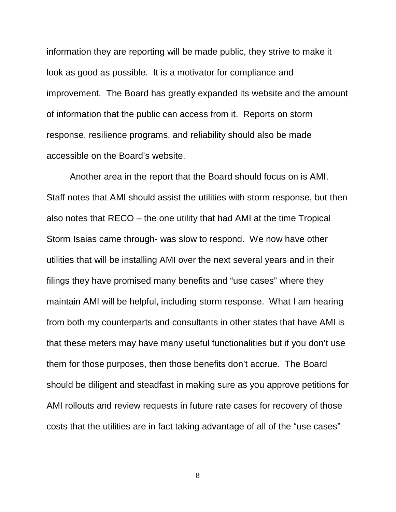information they are reporting will be made public, they strive to make it look as good as possible. It is a motivator for compliance and improvement. The Board has greatly expanded its website and the amount of information that the public can access from it. Reports on storm response, resilience programs, and reliability should also be made accessible on the Board's website.

Another area in the report that the Board should focus on is AMI. Staff notes that AMI should assist the utilities with storm response, but then also notes that RECO – the one utility that had AMI at the time Tropical Storm Isaias came through- was slow to respond. We now have other utilities that will be installing AMI over the next several years and in their filings they have promised many benefits and "use cases" where they maintain AMI will be helpful, including storm response. What I am hearing from both my counterparts and consultants in other states that have AMI is that these meters may have many useful functionalities but if you don't use them for those purposes, then those benefits don't accrue. The Board should be diligent and steadfast in making sure as you approve petitions for AMI rollouts and review requests in future rate cases for recovery of those costs that the utilities are in fact taking advantage of all of the "use cases"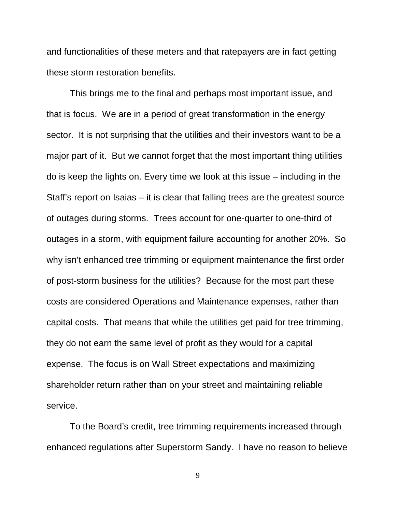and functionalities of these meters and that ratepayers are in fact getting these storm restoration benefits.

This brings me to the final and perhaps most important issue, and that is focus. We are in a period of great transformation in the energy sector. It is not surprising that the utilities and their investors want to be a major part of it. But we cannot forget that the most important thing utilities do is keep the lights on. Every time we look at this issue – including in the Staff's report on Isaias – it is clear that falling trees are the greatest source of outages during storms. Trees account for one-quarter to one-third of outages in a storm, with equipment failure accounting for another 20%. So why isn't enhanced tree trimming or equipment maintenance the first order of post-storm business for the utilities? Because for the most part these costs are considered Operations and Maintenance expenses, rather than capital costs. That means that while the utilities get paid for tree trimming, they do not earn the same level of profit as they would for a capital expense. The focus is on Wall Street expectations and maximizing shareholder return rather than on your street and maintaining reliable service.

To the Board's credit, tree trimming requirements increased through enhanced regulations after Superstorm Sandy. I have no reason to believe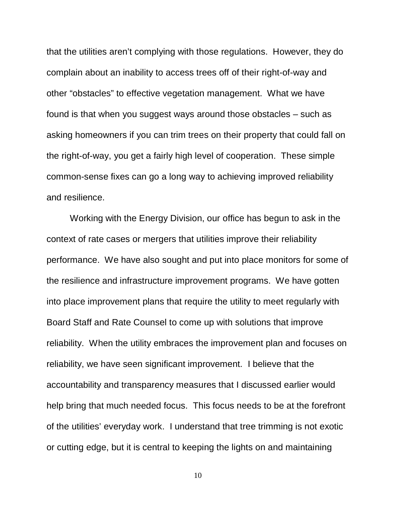that the utilities aren't complying with those regulations. However, they do complain about an inability to access trees off of their right-of-way and other "obstacles" to effective vegetation management. What we have found is that when you suggest ways around those obstacles – such as asking homeowners if you can trim trees on their property that could fall on the right-of-way, you get a fairly high level of cooperation. These simple common-sense fixes can go a long way to achieving improved reliability and resilience.

Working with the Energy Division, our office has begun to ask in the context of rate cases or mergers that utilities improve their reliability performance. We have also sought and put into place monitors for some of the resilience and infrastructure improvement programs. We have gotten into place improvement plans that require the utility to meet regularly with Board Staff and Rate Counsel to come up with solutions that improve reliability. When the utility embraces the improvement plan and focuses on reliability, we have seen significant improvement. I believe that the accountability and transparency measures that I discussed earlier would help bring that much needed focus. This focus needs to be at the forefront of the utilities' everyday work. I understand that tree trimming is not exotic or cutting edge, but it is central to keeping the lights on and maintaining